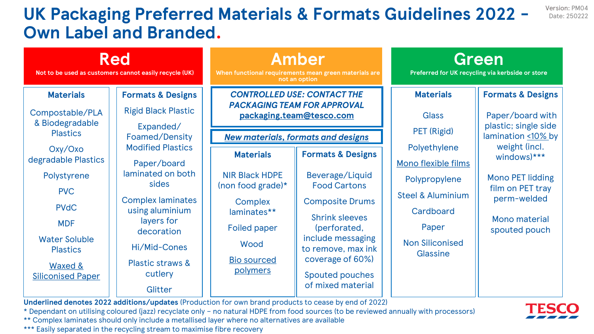## **UK Packaging Preferred Materials & Formats Guidelines 2022 - Own Label and Branded.**

| <b>Red</b><br>Not to be used as customers cannot easily recycle (UK)                                                                                                       |                                                                                                                                                                                                  | Amber<br>When functional requirements mean green materials are<br>not an option                                                                                     |                                                                                                                                                                                                                                                         | Green<br>Preferred for UK recycling via kerbside or store                                                                                        |                                                                                                                              |
|----------------------------------------------------------------------------------------------------------------------------------------------------------------------------|--------------------------------------------------------------------------------------------------------------------------------------------------------------------------------------------------|---------------------------------------------------------------------------------------------------------------------------------------------------------------------|---------------------------------------------------------------------------------------------------------------------------------------------------------------------------------------------------------------------------------------------------------|--------------------------------------------------------------------------------------------------------------------------------------------------|------------------------------------------------------------------------------------------------------------------------------|
| <b>Materials</b><br>Compostable/PLA<br>& Biodegradable                                                                                                                     | <b>Formats &amp; Designs</b><br><b>Rigid Black Plastic</b><br>Expanded/                                                                                                                          | <b>CONTROLLED USE: CONTACT THE</b><br><b>PACKAGING TEAM FOR APPROVAL</b><br>packaging.team@tesco.com                                                                |                                                                                                                                                                                                                                                         | <b>Materials</b><br><b>Glass</b><br><b>PET (Rigid)</b>                                                                                           | <b>Formats &amp; Designs</b><br>Paper/board with<br>plastic; single side                                                     |
| <b>Plastics</b>                                                                                                                                                            | Foamed/Density<br><b>Modified Plastics</b>                                                                                                                                                       | <b>New materials, formats and designs</b>                                                                                                                           |                                                                                                                                                                                                                                                         |                                                                                                                                                  | lamination <10% by                                                                                                           |
| Oxy/Oxo<br>degradable Plastics<br>Polystyrene<br><b>PVC</b><br><b>PVdC</b><br><b>MDF</b><br><b>Water Soluble</b><br><b>Plastics</b><br>Waxed &<br><b>Siliconised Paper</b> | Paper/board<br>laminated on both<br>sides<br><b>Complex laminates</b><br>using aluminium<br>layers for<br>decoration<br>Hi/Mid-Cones<br><b>Plastic straws &amp;</b><br>cutlery<br><b>Glitter</b> | <b>Materials</b><br><b>NIR Black HDPE</b><br>(non food grade) $*$<br><b>Complex</b><br>laminates**<br><b>Foiled paper</b><br>Wood<br><b>Bio sourced</b><br>polymers | <b>Formats &amp; Designs</b><br>Beverage/Liquid<br><b>Food Cartons</b><br><b>Composite Drums</b><br><b>Shrink sleeves</b><br>(perforated,<br>include messaging<br>to remove, max ink<br>coverage of 60%)<br><b>Spouted pouches</b><br>of mixed material | Polyethylene<br>Mono flexible films<br>Polypropylene<br><b>Steel &amp; Aluminium</b><br>Cardboard<br>Paper<br><b>Non Siliconised</b><br>Glassine | weight (incl.<br>windows)***<br><b>Mono PET lidding</b><br>film on PET tray<br>perm-welded<br>Mono material<br>spouted pouch |

**Underlined denotes 2022 additions/updates** (Production for own brand products to cease by end of 2022)

\* Dependant on utilising coloured (jazz) recyclate only - no natural HDPE from food sources (to be reviewed annually with processors)

\*\* Complex laminates should only include a metallised layer where no alternatives are available

\*\*\* Easily separated in the recycling stream to maximise fibre recovery



Version: PM04 Date: 250222